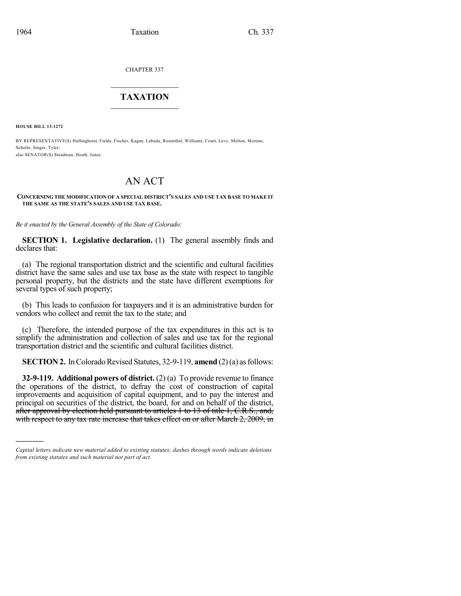CHAPTER 337

## $\mathcal{L}_\text{max}$  . The set of the set of the set of the set of the set of the set of the set of the set of the set of the set of the set of the set of the set of the set of the set of the set of the set of the set of the set **TAXATION**  $\_$

**HOUSE BILL 13-1272**

)))))

BY REPRESENTATIVE(S) Hullinghorst, Fields, Fischer, Kagan, Labuda, Rosenthal, Williams, Court, Levy, Melton, Moreno, Schafer, Singer, Tyler; also SENATOR(S) Steadman, Heath, Jones.

# AN ACT

#### **CONCERNING THE MODIFICATION OF A SPECIAL DISTRICT'S SALES AND USE TAX BASE TO MAKE IT THE SAME AS THE STATE'S SALES AND USE TAX BASE.**

*Be it enacted by the General Assembly of the State of Colorado:*

**SECTION 1. Legislative declaration.** (1) The general assembly finds and declares that:

(a) The regional transportation district and the scientific and cultural facilities district have the same sales and use tax base as the state with respect to tangible personal property, but the districts and the state have different exemptions for several types of such property;

(b) This leads to confusion for taxpayers and it is an administrative burden for vendors who collect and remit the tax to the state; and

(c) Therefore, the intended purpose of the tax expenditures in this act is to simplify the administration and collection of sales and use tax for the regional transportation district and the scientific and cultural facilities district.

**SECTION 2.** In Colorado Revised Statutes, 32-9-119, **amend** (2)(a) as follows:

**32-9-119. Additional powers of district.** (2) (a) To provide revenue to finance the operations of the district, to defray the cost of construction of capital improvements and acquisition of capital equipment, and to pay the interest and principal on securities of the district, the board, for and on behalf of the district, after approval by election held pursuant to articles 1 to 13 of title 1, C.R.S., and, with respect to any tax rate increase that takes effect on or after March 2, 2009, in

*Capital letters indicate new material added to existing statutes; dashes through words indicate deletions from existing statutes and such material not part of act.*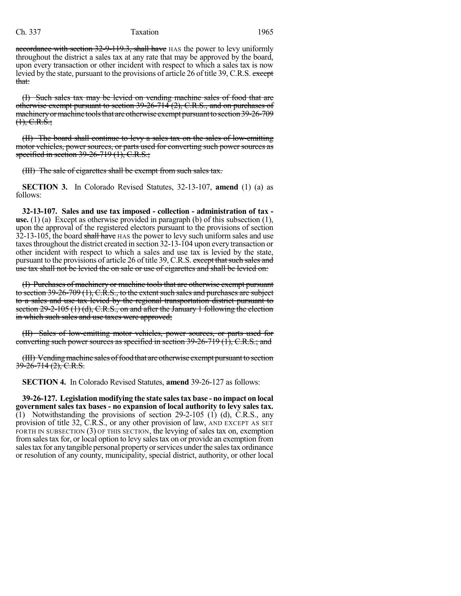## Ch. 337 Taxation 1965

accordance with section 32-9-119.3, shall have HAS the power to levy uniformly throughout the district a sales tax at any rate that may be approved by the board, upon every transaction or other incident with respect to which a sales tax is now levied by the state, pursuant to the provisions of article 26 of title 39, C.R.S. except that:

(I) Such sales tax may be levied on vending machine sales of food that are otherwise exempt pursuant to section 39-26-714 (2), C.R.S., and on purchases of machinery or machine tools that are otherwise exempt pursuant to section 39-26-709  $(1), \text{C.R.}\dot{S}$ ;

(II) The board shall continue to levy a sales tax on the sales of low-emitting motor vehicles, power sources, or parts used for converting such power sources as specified in section 39-26-719 (1), C.R.S.;

(III) The sale of cigarettes shall be exempt from such sales tax.

**SECTION 3.** In Colorado Revised Statutes, 32-13-107, **amend** (1) (a) as follows:

**32-13-107. Sales and use tax imposed - collection - administration of tax use.** (1) (a) Except as otherwise provided in paragraph (b) of this subsection (1), upon the approval of the registered electors pursuant to the provisions of section 32-13-105, the board shall have HAS the power to levy such uniform sales and use taxes throughout the district created in section 32-13-104 upon every transaction or other incident with respect to which a sales and use tax is levied by the state, pursuant to the provisions of article 26 of title 39, C.R.S. except that such sales and use tax shall not be levied the on sale or use of cigarettes and shall be levied on:

(I) Purchases of machinery or machine tools that are otherwise exempt pursuant to section  $39-26-709$  (1), C.R.S., to the extent such sales and purchases are subject to a sales and use tax levied by the regional transportation district pursuant to section 29-2-105 (1) (d), C.R.S., on and after the January 1 following the election in which such sales and use taxes were approved;

(II) Sales of low-emitting motor vehicles, power sources, or parts used for converting such power sources as specified in section 39-26-719 (1), C.R.S.; and

(III) Vending machine sales of food that are otherwise exempt pursuant to section  $39 - 26 - 714$  (2), C.R.S.

**SECTION 4.** In Colorado Revised Statutes, **amend** 39-26-127 as follows:

**39-26-127. Legislation modifying the state salestax base - no impact on local government sales tax bases - no expansion of local authority to levy sales tax.** (1) Notwithstanding the provisions of section 29-2-105 (1) (d), C.R.S., any provision of title 32, C.R.S., or any other provision of law, AND EXCEPT AS SET FORTH IN SUBSECTION (3) OF THIS SECTION, the levying of sales tax on, exemption fromsalestax for, or local option to levy salestax on or provide an exemption from salestax for anytangible personal propertyorservices underthe salestax ordinance or resolution of any county, municipality, special district, authority, or other local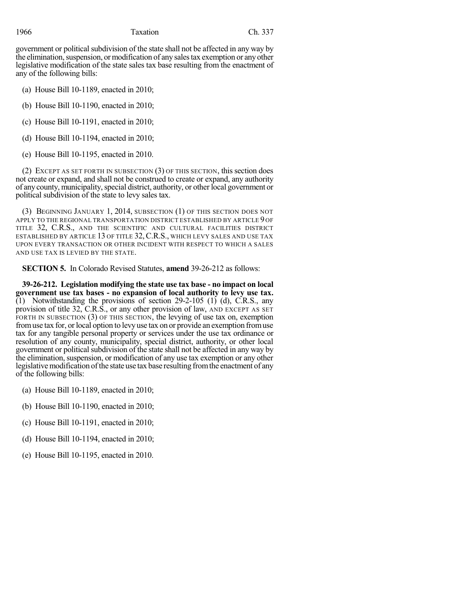government or political subdivision of the state shall not be affected in any way by the elimination, suspension, or modification of any sales tax exemption or any other legislative modification of the state sales tax base resulting from the enactment of any of the following bills:

(a) House Bill 10-1189, enacted in 2010;

(b) House Bill 10-1190, enacted in 2010;

(c) House Bill 10-1191, enacted in 2010;

(d) House Bill 10-1194, enacted in 2010;

(e) House Bill 10-1195, enacted in 2010.

(2) EXCEPT AS SET FORTH IN SUBSECTION (3) OF THIS SECTION, this section does not create or expand, and shall not be construed to create or expand, any authority of any county, municipality, special district, authority, or other local government or political subdivision of the state to levy sales tax.

(3) BEGINNING JANUARY 1, 2014, SUBSECTION (1) OF THIS SECTION DOES NOT APPLY TO THE REGIONAL TRANSPORTATION DISTRICT ESTABLISHED BY ARTICLE 9 OF TITLE 32, C.R.S., AND THE SCIENTIFIC AND CULTURAL FACILITIES DISTRICT ESTABLISHED BY ARTICLE 13 OF TITLE 32, C.R.S., WHICH LEVY SALES AND USE TAX UPON EVERY TRANSACTION OR OTHER INCIDENT WITH RESPECT TO WHICH A SALES AND USE TAX IS LEVIED BY THE STATE.

**SECTION 5.** In Colorado Revised Statutes, **amend** 39-26-212 as follows:

**39-26-212. Legislation modifying the state use tax base - no impact on local government use tax bases - no expansion of local authority to levy use tax.**  $(1)$  Notwithstanding the provisions of section 29-2-105 (1) (d), C.R.S., any provision of title 32, C.R.S., or any other provision of law, AND EXCEPT AS SET FORTH IN SUBSECTION (3) OF THIS SECTION, the levying of use tax on, exemption fromuse tax for, orlocal option to levy use tax on or provide an exemption fromuse tax for any tangible personal property or services under the use tax ordinance or resolution of any county, municipality, special district, authority, or other local government or political subdivision of the state shall not be affected in any way by the elimination, suspension, or modification of any use tax exemption or any other legislative modification of the state use tax base resulting from the enactment of any of the following bills:

(a) House Bill 10-1189, enacted in 2010;

(b) House Bill 10-1190, enacted in 2010;

(c) House Bill 10-1191, enacted in 2010;

(d) House Bill 10-1194, enacted in 2010;

(e) House Bill 10-1195, enacted in 2010.